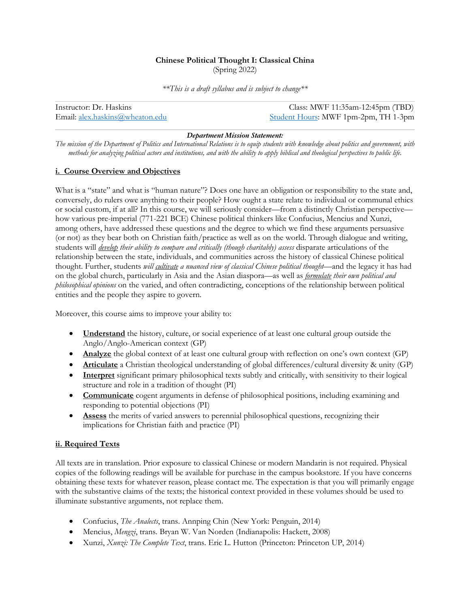# **Chinese Political Thought I: Classical China** (Spring 2022)

*\*\*This is a draft syllabus and is subject to change\*\**

Instructor: Dr. Haskins Class: MWF 11:35am-12:45pm (TBD) Email: alex.haskins@wheaton.edu Student Hours: MWF 1pm-2pm, TH 1-3pm

## *Department Mission Statement:*

*The mission of the Department of Politics and International Relations is to equip students with knowledge about politics and government, with methods for analyzing political actors and institutions, and with the ability to apply biblical and theological perspectives to public life.*

# **i. Course Overview and Objectives**

What is a "state" and what is "human nature"? Does one have an obligation or responsibility to the state and, conversely, do rulers owe anything to their people? How ought a state relate to individual or communal ethics or social custom, if at all? In this course, we will seriously consider—from a distinctly Christian perspective how various pre-imperial (771-221 BCE) Chinese political thinkers like Confucius, Mencius and Xunzi, among others, have addressed these questions and the degree to which we find these arguments persuasive (or not) as they bear both on Christian faith/practice as well as on the world. Through dialogue and writing, students will *develop their ability to compare and critically (though charitably) assess* disparate articulations of the relationship between the state, individuals, and communities across the history of classical Chinese political thought. Further, students *will cultivate a nuanced view of classical Chinese political thought*—and the legacy it has had on the global church, particularly in Asia and the Asian diaspora—as well as *formulate their own political and philosophical opinions* on the varied, and often contradicting, conceptions of the relationship between political entities and the people they aspire to govern.

Moreover, this course aims to improve your ability to:

- **Understand** the history, culture, or social experience of at least one cultural group outside the Anglo/Anglo-American context (GP)
- **Analyze** the global context of at least one cultural group with reflection on one's own context (GP)
- **Articulate** a Christian theological understanding of global differences/cultural diversity & unity (GP)
- **Interpret** significant primary philosophical texts subtly and critically, with sensitivity to their logical structure and role in a tradition of thought (PI)
- **Communicate** cogent arguments in defense of philosophical positions, including examining and responding to potential objections (PI)
- **Assess** the merits of varied answers to perennial philosophical questions, recognizing their implications for Christian faith and practice (PI)

# **ii. Required Texts**

All texts are in translation. Prior exposure to classical Chinese or modern Mandarin is not required. Physical copies of the following readings will be available for purchase in the campus bookstore. If you have concerns obtaining these texts for whatever reason, please contact me. The expectation is that you will primarily engage with the substantive claims of the texts; the historical context provided in these volumes should be used to illuminate substantive arguments, not replace them.

- Confucius, *The Analects*, trans. Annping Chin (New York: Penguin, 2014)
- Mencius, *Mengzi*, trans. Bryan W. Van Norden (Indianapolis: Hackett, 2008)
- Xunzi, *Xunzi: The Complete Text*, trans. Eric L. Hutton (Princeton: Princeton UP, 2014)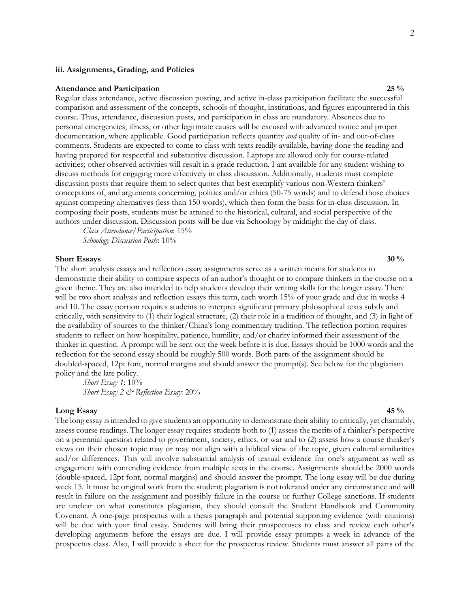### **iii. Assignments, Grading, and Policies**

# **Attendance and Participation 25 %**

Regular class attendance, active discussion posting, and active in-class participation facilitate the successful comparison and assessment of the concepts, schools of thought, institutions, and figures encountered in this course. Thus, attendance, discussion posts, and participation in class are mandatory. Absences due to personal emergencies, illness, or other legitimate causes will be excused with advanced notice and proper documentation, where applicable. Good participation reflects quantity *and* quality of in- and out-of-class comments. Students are expected to come to class with texts readily available, having done the reading and having prepared for respectful and substantive discussion. Laptops are allowed only for course-related activities; other observed activities will result in a grade reduction. I am available for any student wishing to discuss methods for engaging more effectively in class discussion. Additionally, students must complete discussion posts that require them to select quotes that best exemplify various non-Western thinkers' conceptions of, and arguments concerning, politics and/or ethics (50-75 words) and to defend those choices against competing alternatives (less than 150 words), which then form the basis for in-class discussion. In composing their posts, students must be attuned to the historical, cultural, and social perspective of the authors under discussion. Discussion posts will be due via Schoology by midnight the day of class.

*Class Attendance/Participation*: 15% *Schoology Discussion Posts*: 10%

### **Short Essays 30 % 30 %**

The short analysis essays and reflection essay assignments serve as a written means for students to demonstrate their ability to compare aspects of an author's thought or to compare thinkers in the course on a given theme. They are also intended to help students develop their writing skills for the longer essay. There will be two short analysis and reflection essays this term, each worth 15% of your grade and due in weeks 4 and 10. The essay portion requires students to interpret significant primary philosophical texts subtly and critically, with sensitivity to (1) their logical structure, (2) their role in a tradition of thought, and (3) in light of the availability of sources to the thinker/China's long commentary tradition. The reflection portion requires students to reflect on how hospitality, patience, humility, and/or charity informed their assessment of the thinker in question. A prompt will be sent out the week before it is due. Essays should be 1000 words and the reflection for the second essay should be roughly 500 words. Both parts of the assignment should be doubled-spaced, 12pt font, normal margins and should answer the prompt(s). See below for the plagiarism policy and the late policy.

*Short Essay 1*: 10% *Short Essay 2 & Reflection Essay*: 20%

## **Long Essay 45 %**

The long essay is intended to give students an opportunity to demonstrate their ability to critically, yet charitably, assess course readings. The longer essay requires students both to (1) assess the merits of a thinker's perspective on a perennial question related to government, society, ethics, or war and to (2) assess how a course thinker's views on their chosen topic may or may not align with a biblical view of the topic, given cultural similarities and/or differences. This will involve substantial analysis of textual evidence for one's argument as well as engagement with contending evidence from multiple texts in the course. Assignments should be 2000 words (double-spaced, 12pt font, normal margins) and should answer the prompt. The long essay will be due during week 15. It must be original work from the student; plagiarism is not tolerated under any circumstance and will result in failure on the assignment and possibly failure in the course or further College sanctions. If students are unclear on what constitutes plagiarism, they should consult the Student Handbook and Community Covenant. A one-page prospectus with a thesis paragraph and potential supporting evidence (with citations) will be due with your final essay. Students will bring their prospectuses to class and review each other's developing arguments before the essays are due. I will provide essay prompts a week in advance of the prospectus class. Also, I will provide a sheet for the prospectus review. Students must answer all parts of the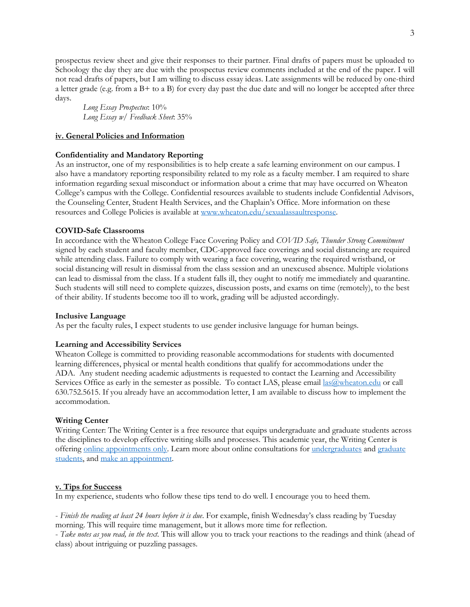prospectus review sheet and give their responses to their partner. Final drafts of papers must be uploaded to Schoology the day they are due with the prospectus review comments included at the end of the paper. I will not read drafts of papers, but I am willing to discuss essay ideas. Late assignments will be reduced by one-third a letter grade (e.g. from a B+ to a B) for every day past the due date and will no longer be accepted after three days.

*Long Essay Prospectus*: 10% *Long Essay w/ Feedback Sheet*: 35%

## **iv. General Policies and Information**

## **Confidentiality and Mandatory Reporting**

As an instructor, one of my responsibilities is to help create a safe learning environment on our campus. I also have a mandatory reporting responsibility related to my role as a faculty member. I am required to share information regarding sexual misconduct or information about a crime that may have occurred on Wheaton College's campus with the College. Confidential resources available to students include Confidential Advisors, the Counseling Center, Student Health Services, and the Chaplain's Office. More information on these resources and College Policies is available at www.wheaton.edu/sexualassaultresponse.

## **COVID-Safe Classrooms**

In accordance with the Wheaton College Face Covering Policy and *COVID Safe, Thunder Strong Commitment* signed by each student and faculty member, CDC-approved face coverings and social distancing are required while attending class. Failure to comply with wearing a face covering, wearing the required wristband, or social distancing will result in dismissal from the class session and an unexcused absence. Multiple violations can lead to dismissal from the class. If a student falls ill, they ought to notify me immediately and quarantine. Such students will still need to complete quizzes, discussion posts, and exams on time (remotely), to the best of their ability. If students become too ill to work, grading will be adjusted accordingly.

## **Inclusive Language**

As per the faculty rules, I expect students to use gender inclusive language for human beings.

### **Learning and Accessibility Services**

Wheaton College is committed to providing reasonable accommodations for students with documented learning differences, physical or mental health conditions that qualify for accommodations under the ADA. Any student needing academic adjustments is requested to contact the Learning and Accessibility Services Office as early in the semester as possible. To contact LAS, please email las@wheaton.edu or call 630.752.5615. If you already have an accommodation letter, I am available to discuss how to implement the accommodation.

### **Writing Center**

Writing Center: The Writing Center is a free resource that equips undergraduate and graduate students across the disciplines to develop effective writing skills and processes. This academic year, the Writing Center is offering online appointments only. Learn more about online consultations for undergraduates and graduate students, and make an appointment.

### **v. Tips for Success**

In my experience, students who follow these tips tend to do well. I encourage you to heed them.

- *Finish the reading at least 24 hours before it is due*. For example, finish Wednesday's class reading by Tuesday morning. This will require time management, but it allows more time for reflection.

- *Take notes as you read, in the text*. This will allow you to track your reactions to the readings and think (ahead of class) about intriguing or puzzling passages.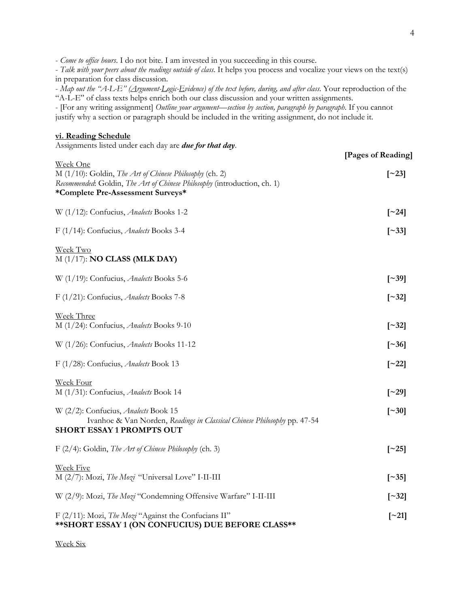- *Come to office hours*. I do not bite. I am invested in you succeeding in this course.

- *Talk with your peers about the readings outside of class*. It helps you process and vocalize your views on the text(s) in preparation for class discussion.

- *Map out the "A-L-E" (Argument-Logic-Evidence) of the text before, during, and after class*. Your reproduction of the "A-L-E" of class texts helps enrich both our class discussion and your written assignments.

- [For any writing assignment] *Outline your argument—section by section, paragraph by paragraph*. If you cannot justify why a section or paragraph should be included in the writing assignment, do not include it.

### **vi. Reading Schedule**

Assignments listed under each day are *due for that day*.

|                                                                                                                                                                                      | [Pages of Reading]       |
|--------------------------------------------------------------------------------------------------------------------------------------------------------------------------------------|--------------------------|
| Week One<br>M (1/10): Goldin, The Art of Chinese Philosophy (ch. 2)<br>Recommended: Goldin, The Art of Chinese Philosophy (introduction, ch. 1)<br>*Complete Pre-Assessment Surveys* | $\lceil$ ~23]            |
| W (1/12): Confucius, Analects Books 1-2                                                                                                                                              | $\lceil 24 \rceil$       |
| F (1/14): Confucius, Analects Books 3-4                                                                                                                                              | $\lceil 33 \rceil$       |
| Week Two<br>$M(1/17)$ : <b>NO CLASS (MLK DAY)</b>                                                                                                                                    |                          |
| W (1/19): Confucius, Analects Books 5-6                                                                                                                                              | $\lceil$ ~39]            |
| F (1/21): Confucius, Analects Books 7-8                                                                                                                                              | $\lceil 32 \rceil$       |
| Week Three<br>M (1/24): Confucius, Analects Books 9-10                                                                                                                               | $\left[ \sim 32 \right]$ |
| W (1/26): Confucius, Analects Books 11-12                                                                                                                                            | $\lceil$ ~36]            |
| F (1/28): Confucius, Analects Book 13                                                                                                                                                | $\lceil$ ~22]            |
| Week Four<br>M (1/31): Confucius, Analects Book 14                                                                                                                                   | $\lceil$ 29\rceil        |
| W (2/2): Confucius, <i>Analects</i> Book 15<br>Ivanhoe & Van Norden, Readings in Classical Chinese Philosophy pp. 47-54<br><b>SHORT ESSAY 1 PROMPTS OUT</b>                          | $\lceil 20 \rceil$       |
| F (2/4): Goldin, The Art of Chinese Philosophy (ch. 3)                                                                                                                               | $\left[\sim\!25\right]$  |
| <b>Week Five</b><br>M (2/7): Mozi, The Mozi "Universal Love" I-II-III                                                                                                                | $\lceil \sim 35 \rceil$  |
| W (2/9): Mozi, The Mozi "Condemning Offensive Warfare" I-II-III                                                                                                                      | $\lceil 32 \rceil$       |
| F (2/11): Mozi, The Mozi "Against the Confucians II"<br>** SHORT ESSAY 1 (ON CONFUCIUS) DUE BEFORE CLASS**                                                                           | $\left[\sim\!21\right]$  |

Week Six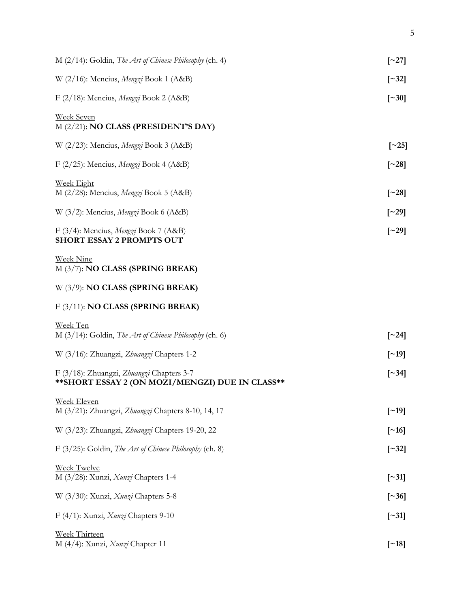| $M$ (2/14): Goldin, The Art of Chinese Philosophy (ch. 4)                                     | $\lceil 27 \rceil$       |
|-----------------------------------------------------------------------------------------------|--------------------------|
| W (2/16): Mencius, Mengzi Book 1 (A&B)                                                        | $\left[ \sim 32 \right]$ |
| F (2/18): Mencius, Mengzi Book 2 (A&B)                                                        | $\lceil$ ~30]            |
| <b>Week Seven</b><br>M (2/21): NO CLASS (PRESIDENT'S DAY)                                     |                          |
| W (2/23): Mencius, Mengzi Book 3 (A&B)                                                        | $\lceil 25 \rceil$       |
| F (2/25): Mencius, Mengzi Book 4 (A&B)                                                        | $\lceil 28 \rceil$       |
| <b>Week Eight</b><br>M (2/28): Mencius, Mengzi Book 5 (A&B)                                   | $\lceil 28 \rceil$       |
| W $(3/2)$ : Mencius, Mengzi Book 6 (A&B)                                                      | $\lceil 29 \rceil$       |
| F (3/4): Mencius, Mengzi Book 7 (A&B)<br><b>SHORT ESSAY 2 PROMPTS OUT</b>                     | $\lceil 29 \rceil$       |
| <b>Week Nine</b><br>M (3/7): NO CLASS (SPRING BREAK)                                          |                          |
| $W(3/9)$ : NO CLASS (SPRING BREAK)                                                            |                          |
| $F(3/11)$ : NO CLASS (SPRING BREAK)                                                           |                          |
| Week Ten<br>M (3/14): Goldin, The Art of Chinese Philosophy (ch. 6)                           | $\left[\sim\!24\right]$  |
| W (3/16): Zhuangzi, Zhuangzi Chapters 1-2                                                     | $\lceil$ ~19]            |
| F (3/18): Zhuangzi, Zhuangzi Chapters 3-7<br>** SHORT ESSAY 2 (ON MOZI/MENGZI) DUE IN CLASS** | $\left[ \sim 34 \right]$ |
| <b>Week Eleven</b><br>M (3/21): Zhuangzi, Zhuangzi Chapters 8-10, 14, 17                      | $\left[\sim19\right]$    |
| W (3/23): Zhuangzi, Zhuangzi Chapters 19-20, 22                                               | $\left[\sim16\right]$    |
| F (3/25): Goldin, The Art of Chinese Philosophy (ch. 8)                                       | $[\sim]32]$              |
| <b>Week Twelve</b><br>M (3/28): Xunzi, <i>Xunzi</i> Chapters 1-4                              | $\left[\sim31\right]$    |
| W (3/30): Xunzi, <i>Xunzi</i> Chapters 5-8                                                    | $\lceil 236 \rceil$      |
| F (4/1): Xunzi, <i>Xunzi</i> Chapters 9-10                                                    | $\left[\sim31\right]$    |
| <b>Week Thirteen</b><br>M (4/4): Xunzi, <i>Xunzi</i> Chapter 11                               | $\left[\sim18\right]$    |